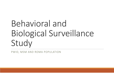# Behavioral andBiological Surveillance Study

PWID, MSM AND ROMA POPULATION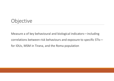#### Objective

Measure <sup>a</sup> of key behavioural and biological indicators—including correlations between risk behaviours and exposure to specific STIs for IDUs, MSM in Tirana, and the Roma population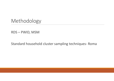Methodology

RDS – PWID, MSM

Standard household cluster sampling techniques‐ Roma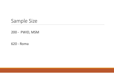#### Sample Size

‐ PWID, MSM

‐ Roma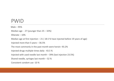#### PWID

Male – 95%Median age ‐ 27 (younger than 25 – 32%)

Illiterate – 10%

Median age at first injection – 21 ( 18.5 % have injected before 19 years of age)

Injected more than 5 years – 36.5%

The most commonly in the past month were heroin ‐93.2%

Injected drugs multiple times daily ‐ 43.5 %

Injected with used needle last month – 39% (last injection 23.5%)

Shared needle, syringes last month – 52 %

Consistent condom use ‐10 %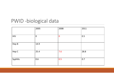# PWID ‐biological data

|            | 2005           | 2008        | 2011 |
|------------|----------------|-------------|------|
| <b>HIV</b> | $\overline{0}$ | $\mathbf 0$ | 0.5  |
| Hep B      | 14.9           |             |      |
| Hep C      | 25.4           | 7.6         | 28.8 |
| Syphilis   | 0.6            | 0.5         | 0.7  |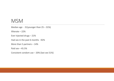#### MSM

Median age ‐ 31(younger than 25 – 31%) Illiterate – 22%Ever injected drugs – 21% Had sex in the past 6 months ‐92% More than 5 partners – 14% Paid sex – 45.5% Consistent condom use – 20% (last sex 51%)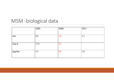# MSM ‐biological data

|            | 2005 | 2008 | 2011 |
|------------|------|------|------|
| <b>HIV</b> | 0.8  | 1.8  | 1.2  |
| Hep B      | 17.6 | 3.5  |      |
| Syphilis   | 1.2  | 2.6  | 1.8  |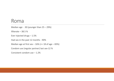#### Roma

Median age ‐ 30 (younger than 25 – 29%) Illiterate – 38.5 %Ever injected drugs – 1.5% Had sex in the past 12 months ‐90% Median age at first sex – 16% (<= 18 of age – 83%) Condom use (regular partner) last sex‐12 % Consistent condom use – 1.2%